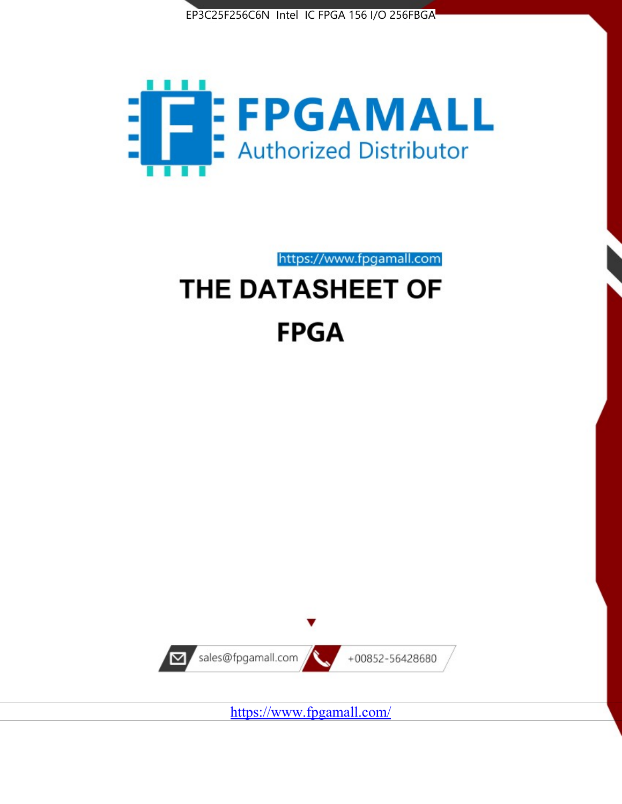



https://www.fpgamall.com

# THE DATASHEET OF **FPGA**



<https://www.fpgamall.com/>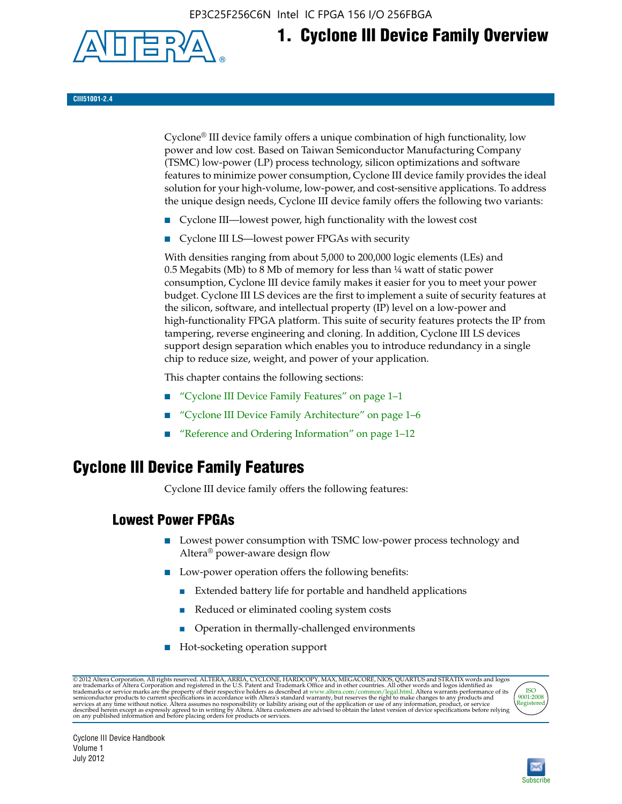EP3C25F256C6N Intel IC FPGA 156 I/O 256FBGA



## **1. Cyclone III Device Family Overview**

#### **CIII51001-2.4**

Cyclone® III device family offers a unique combination of high functionality, low power and low cost. Based on Taiwan Semiconductor Manufacturing Company (TSMC) low-power (LP) process technology, silicon optimizations and software features to minimize power consumption, Cyclone III device family provides the ideal solution for your high-volume, low-power, and cost-sensitive applications. To address the unique design needs, Cyclone III device family offers the following two variants:

- Cyclone III—lowest power, high functionality with the lowest cost
- Cyclone III LS—lowest power FPGAs with security

With densities ranging from about 5,000 to 200,000 logic elements (LEs) and 0.5 Megabits (Mb) to 8 Mb of memory for less than  $\frac{1}{4}$  watt of static power consumption, Cyclone III device family makes it easier for you to meet your power budget. Cyclone III LS devices are the first to implement a suite of security features at the silicon, software, and intellectual property (IP) level on a low-power and high-functionality FPGA platform. This suite of security features protects the IP from tampering, reverse engineering and cloning. In addition, Cyclone III LS devices support design separation which enables you to introduce redundancy in a single chip to reduce size, weight, and power of your application.

This chapter contains the following sections:

- "Cyclone III Device Family Features" on page 1–1
- "Cyclone III Device Family Architecture" on page 1–6
- "Reference and Ordering Information" on page 1–12

### **Cyclone III Device Family Features**

Cyclone III device family offers the following features:

#### **Lowest Power FPGAs**

- Lowest power consumption with TSMC low-power process technology and Altera® power-aware design flow
- Low-power operation offers the following benefits:
	- Extended battery life for portable and handheld applications
	- Reduced or eliminated cooling system costs
	- Operation in thermally-challenged environments
- Hot-socketing operation support

@ 2012 Altera Corporation. All rights reserved. ALTERA, ARRIA, CYCLONE, HARDCOPY, MAX, MEGACORE, NIOS, QUARTUS and STRATIX words and logos are trademarks of Altera Corporation and registered in the U.S. Patent and Trademar



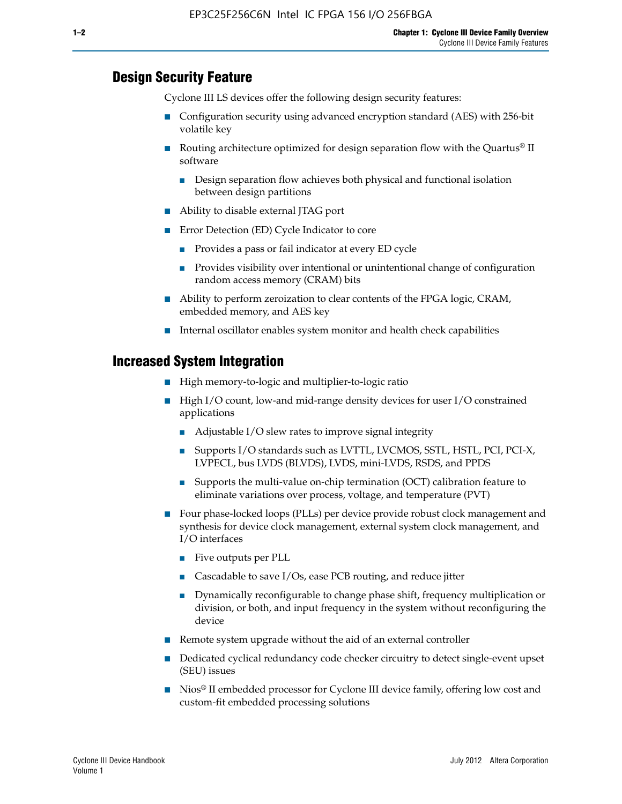#### **Design Security Feature**

Cyclone III LS devices offer the following design security features:

- Configuration security using advanced encryption standard (AES) with 256-bit volatile key
- **■** Routing architecture optimized for design separation flow with the Quartus<sup>®</sup> II software
	- Design separation flow achieves both physical and functional isolation between design partitions
- Ability to disable external JTAG port
- Error Detection (ED) Cycle Indicator to core
	- Provides a pass or fail indicator at every ED cycle
	- Provides visibility over intentional or unintentional change of configuration random access memory (CRAM) bits
- Ability to perform zeroization to clear contents of the FPGA logic, CRAM, embedded memory, and AES key
- Internal oscillator enables system monitor and health check capabilities

#### **Increased System Integration**

- High memory-to-logic and multiplier-to-logic ratio
- High I/O count, low-and mid-range density devices for user I/O constrained applications
	- Adjustable I/O slew rates to improve signal integrity
	- Supports I/O standards such as LVTTL, LVCMOS, SSTL, HSTL, PCI, PCI-X, LVPECL, bus LVDS (BLVDS), LVDS, mini-LVDS, RSDS, and PPDS
	- Supports the multi-value on-chip termination (OCT) calibration feature to eliminate variations over process, voltage, and temperature (PVT)
- Four phase-locked loops (PLLs) per device provide robust clock management and synthesis for device clock management, external system clock management, and I/O interfaces
	- Five outputs per PLL
	- Cascadable to save I/Os, ease PCB routing, and reduce jitter
	- Dynamically reconfigurable to change phase shift, frequency multiplication or division, or both, and input frequency in the system without reconfiguring the device
- Remote system upgrade without the aid of an external controller
- Dedicated cyclical redundancy code checker circuitry to detect single-event upset (SEU) issues
- Nios<sup>®</sup> II embedded processor for Cyclone III device family, offering low cost and custom-fit embedded processing solutions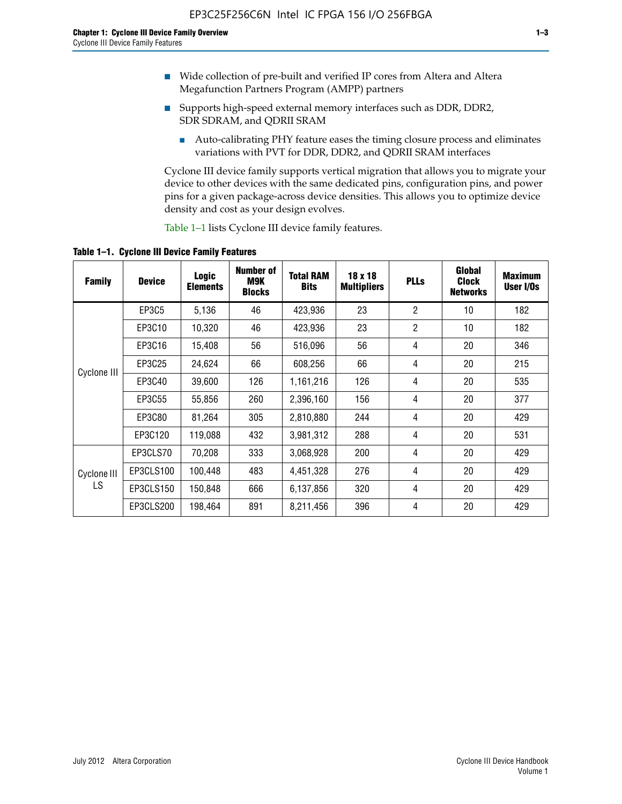- Wide collection of pre-built and verified IP cores from Altera and Altera Megafunction Partners Program (AMPP) partners
- Supports high-speed external memory interfaces such as DDR, DDR2, SDR SDRAM, and QDRII SRAM
	- Auto-calibrating PHY feature eases the timing closure process and eliminates variations with PVT for DDR, DDR2, and QDRII SRAM interfaces

Cyclone III device family supports vertical migration that allows you to migrate your device to other devices with the same dedicated pins, configuration pins, and power pins for a given package-across device densities. This allows you to optimize device density and cost as your design evolves.

Table 1–1 lists Cyclone III device family features.

**Table 1–1. Cyclone III Device Family Features**

| <b>Family</b>     | <b>Device</b> | Logic<br><b>Elements</b> | <b>Number of</b><br>M9K<br><b>Blocks</b> | <b>Total RAM</b><br><b>Bits</b> | 18 x 18<br><b>Multipliers</b> | <b>PLLs</b>    | Global<br><b>Clock</b><br><b>Networks</b> | <b>Maximum</b><br>User I/Os |
|-------------------|---------------|--------------------------|------------------------------------------|---------------------------------|-------------------------------|----------------|-------------------------------------------|-----------------------------|
|                   | EP3C5         | 5,136                    | 46                                       | 423,936                         | 23                            | $\overline{2}$ | 10                                        | 182                         |
|                   | EP3C10        | 10,320                   | 46                                       | 423,936                         | 23                            | $\overline{2}$ | 10                                        | 182                         |
|                   | EP3C16        | 15,408                   | 56                                       | 516,096                         | 56                            | 4              | 20                                        | 346                         |
|                   | EP3C25        | 24,624                   | 66                                       | 608,256                         | 66                            | 4              | 20                                        | 215                         |
| Cyclone III       | EP3C40        | 39,600                   | 126                                      | 1,161,216                       | 126                           | 4              | 20                                        | 535                         |
|                   | EP3C55        | 55,856                   | 260                                      | 2,396,160                       | 156                           | 4              | 20                                        | 377                         |
|                   | EP3C80        | 81,264                   | 305                                      | 2,810,880                       | 244                           | 4              | 20                                        | 429                         |
|                   | EP3C120       | 119,088                  | 432                                      | 3,981,312                       | 288                           | 4              | 20                                        | 531                         |
|                   | EP3CLS70      | 70,208                   | 333                                      | 3,068,928                       | 200                           | 4              | 20                                        | 429                         |
| Cyclone III<br>LS | EP3CLS100     | 100,448                  | 483                                      | 4,451,328                       | 276                           | 4              | 20                                        | 429                         |
|                   | EP3CLS150     | 150,848                  | 666                                      | 6,137,856                       | 320                           | 4              | 20                                        | 429                         |
|                   | EP3CLS200     | 198,464                  | 891                                      | 8,211,456                       | 396                           | 4              | 20                                        | 429                         |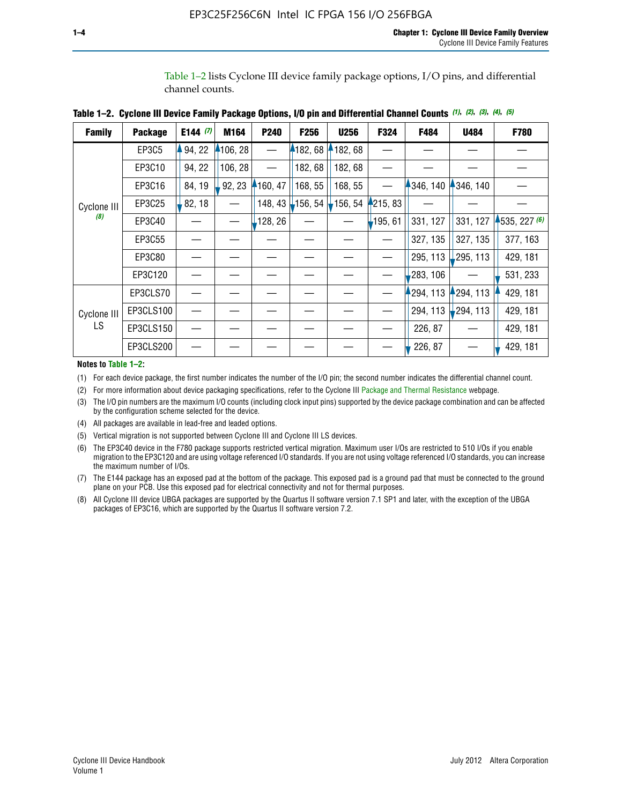Table 1–2 lists Cyclone III device family package options, I/O pins, and differential channel counts.

| <b>Family</b> | <b>Package</b> | E144 $(7)$ | M164     | P240     | F <sub>256</sub> | <b>U256</b> | F324       | F484     | U484        | F780           |
|---------------|----------------|------------|----------|----------|------------------|-------------|------------|----------|-------------|----------------|
|               | EP3C5          | 94, 22     | 4106, 28 |          | 182, 68          | 182, 68     |            |          |             |                |
|               | EP3C10         | 94, 22     | 106, 28  |          | 182, 68          | 182, 68     |            |          |             |                |
|               | EP3C16         | 84, 19     | 92, 23   | 160, 47  | 168, 55          | 168, 55     |            | 346, 140 | 4346, 140   |                |
| Cyclone III   | EP3C25         | 82, 18     |          | 148, 43  | $-156, 54$       | 156, 54     | 4215, 83   |          |             |                |
| (8)           | EP3C40         |            |          | ,128, 26 |                  |             | $-195, 61$ | 331, 127 | 331, 127    | $+535, 227(6)$ |
|               | EP3C55         |            |          |          |                  |             |            | 327, 135 | 327, 135    | 377, 163       |
|               | EP3C80         |            |          |          |                  |             |            | 295, 113 | 295, 113    | 429, 181       |
|               | EP3C120        |            |          |          |                  |             |            | 283, 106 |             | 531, 233       |
|               | EP3CLS70       |            |          |          |                  |             |            | 294, 113 | 294, 113    | 429, 181       |
| Cyclone III   | EP3CLS100      |            |          |          |                  |             |            | 294, 113 | $-294, 113$ | 429, 181       |
| LS.           | EP3CLS150      |            |          |          |                  |             |            | 226, 87  |             | 429, 181       |
|               | EP3CLS200      |            |          |          |                  |             |            | 226, 87  |             | 429, 181       |

|  | Table 1–2. Cyclone III Device Family Package Options, I/O pin and Differential Channel Counts (1), (2), (3), (4), (5) |  |  |  |  |  |  |  |  |
|--|-----------------------------------------------------------------------------------------------------------------------|--|--|--|--|--|--|--|--|
|--|-----------------------------------------------------------------------------------------------------------------------|--|--|--|--|--|--|--|--|

**Notes to Table 1–2:**

(1) For each device package, the first number indicates the number of the I/O pin; the second number indicates the differential channel count.

(2) For more information about device packaging specifications, refer to the Cyclone III [Package and Thermal Resistance](http://www.altera.com/support/devices/packaging/specifications/pkg-pin/dev-package-listing.jsp?device=Cyclone_III) webpage.

(3) The I/O pin numbers are the maximum I/O counts (including clock input pins) supported by the device package combination and can be affected by the configuration scheme selected for the device.

(4) All packages are available in lead-free and leaded options.

(5) Vertical migration is not supported between Cyclone III and Cyclone III LS devices.

(6) The EP3C40 device in the F780 package supports restricted vertical migration. Maximum user I/Os are restricted to 510 I/Os if you enable migration to the EP3C120 and are using voltage referenced I/O standards. If you are not using voltage referenced I/O standards, you can increase the maximum number of I/Os.

(7) The E144 package has an exposed pad at the bottom of the package. This exposed pad is a ground pad that must be connected to the ground plane on your PCB. Use this exposed pad for electrical connectivity and not for thermal purposes.

(8) All Cyclone III device UBGA packages are supported by the Quartus II software version 7.1 SP1 and later, with the exception of the UBGA packages of EP3C16, which are supported by the Quartus II software version 7.2.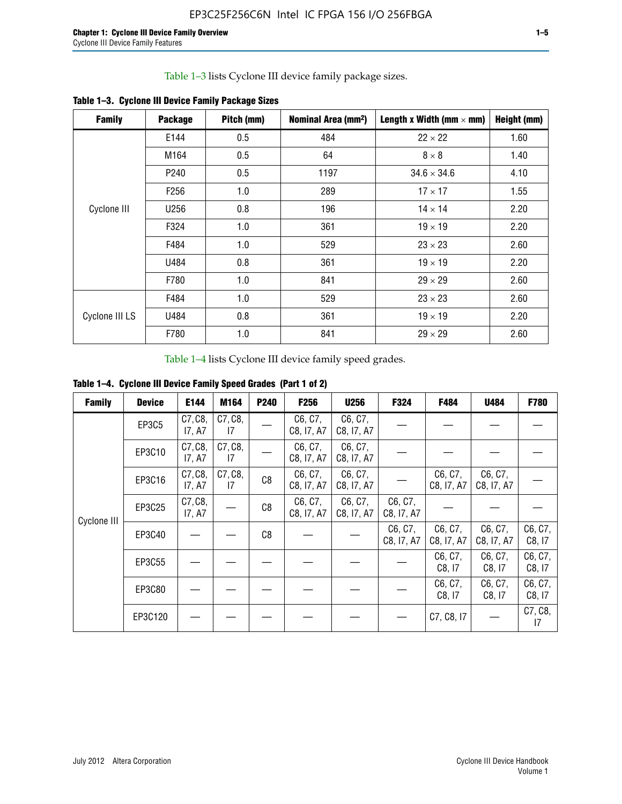Table 1–3 lists Cyclone III device family package sizes.

| <b>Family</b>  | <b>Package</b>   | Pitch (mm) | Nominal Area (mm <sup>2</sup> ) | Length x Width (mm $\times$ mm) | Height (mm) |
|----------------|------------------|------------|---------------------------------|---------------------------------|-------------|
|                | E144             | 0.5        | 484                             | $22 \times 22$                  | 1.60        |
|                | M164             | 0.5        | 64                              | $8 \times 8$                    | 1.40        |
|                | P <sub>240</sub> | 0.5        | 1197                            | $34.6 \times 34.6$              | 4.10        |
|                | F <sub>256</sub> | 1.0        | 289                             | $17 \times 17$                  | 1.55        |
| Cyclone III    | U256             | 0.8        | 196                             | $14 \times 14$                  | 2.20        |
|                | F324             | 1.0        | 361                             | $19 \times 19$                  | 2.20        |
|                | F484             | 1.0        | 529                             | $23 \times 23$                  | 2.60        |
|                | U484             | 0.8        | 361                             | $19 \times 19$                  | 2.20        |
|                | F780             | 1.0        | 841                             | $29 \times 29$                  | 2.60        |
|                | F484             | 1.0        | 529                             | $23 \times 23$                  | 2.60        |
| Cyclone III LS | U484             | 0.8        | 361                             | $19 \times 19$                  | 2.20        |
|                | F780             | 1.0        | 841                             | $29 \times 29$                  | 2.60        |

**Table 1–3. Cyclone III Device Family Package Sizes**

Table 1–4 lists Cyclone III device family speed grades.

**Table 1–4. Cyclone III Device Family Speed Grades (Part 1 of 2)**

| <b>Family</b> | <b>Device</b> | E144              | M164          | <b>P240</b> | <b>F256</b>           | <b>U256</b>           | F324                  | F484                  | U484                  | <b>F780</b>       |
|---------------|---------------|-------------------|---------------|-------------|-----------------------|-----------------------|-----------------------|-----------------------|-----------------------|-------------------|
|               | EP3C5         | C7, C8,<br>17, A7 | C7, C8,<br>17 |             | C6, C7,<br>C8, I7, A7 | C6, C7,<br>C8, I7, A7 |                       |                       |                       |                   |
|               | EP3C10        | C7, C8,<br>17, A7 | C7, C8,<br>17 |             | C6, C7,<br>C8, I7, A7 | C6, C7,<br>C8, I7, A7 |                       |                       |                       |                   |
|               | EP3C16        | C7, C8,<br>17, A7 | C7, C8,<br>17 | C8          | C6, C7,<br>C8, I7, A7 | C6, C7,<br>C8, I7, A7 |                       | C6, C7,<br>C8, I7, A7 | C6, C7,<br>C8, I7, A7 |                   |
| Cyclone III   | EP3C25        | C7, C8,<br>17, A7 |               | C8          | C6, C7,<br>C8, I7, A7 | C6, C7,<br>C8, I7, A7 | C6, C7,<br>C8, I7, A7 |                       |                       |                   |
|               | EP3C40        |                   |               | C8          |                       |                       | C6, C7,<br>C8, I7, A7 | C6, C7,<br>C8, I7, A7 | C6, C7,<br>C8, I7, A7 | C6, C7,<br>C8, 17 |
|               | EP3C55        |                   |               |             |                       |                       |                       | C6, C7,<br>C8, I7     | C6, C7,<br>C8, 17     | C6, C7,<br>C8, 17 |
|               | EP3C80        |                   |               |             |                       |                       |                       | C6, C7,<br>C8, 17     | C6, C7,<br>C8, 17     | C6, C7,<br>C8, 17 |
|               | EP3C120       |                   |               |             |                       |                       |                       | C7, C8, I7            |                       | C7, C8,<br>17     |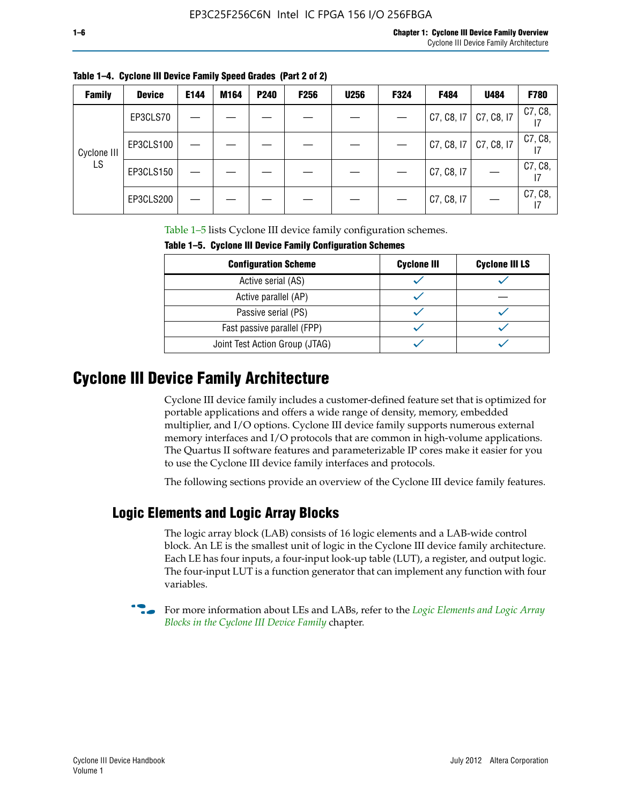| <b>Family</b> | <b>Device</b> | E144 | M164 | <b>P240</b> | <b>F256</b> | <b>U256</b> | <b>F324</b> | F484       | U484       | <b>F780</b> |
|---------------|---------------|------|------|-------------|-------------|-------------|-------------|------------|------------|-------------|
|               | EP3CLS70      |      |      |             |             |             |             | C7, C8, I7 | C7, C8, I7 | C7, C8,     |
| Cyclone III   | EP3CLS100     |      |      |             |             |             |             | C7, C8, I7 | C7, C8, I7 | C7, C8,     |
| LS            | EP3CLS150     |      |      |             |             |             |             | C7, C8, I7 |            | C7, C8,     |
|               | EP3CLS200     |      |      |             |             |             |             | C7, C8, I7 |            | C7, C8,     |

**Table 1–4. Cyclone III Device Family Speed Grades (Part 2 of 2)**

Table 1–5 lists Cyclone III device family configuration schemes.

| <b>IQUIE 1-3. CYCLUILE III DEVICE FAILIIV CUILILUILATION SCIIENIES</b> |                    |                       |  |  |  |
|------------------------------------------------------------------------|--------------------|-----------------------|--|--|--|
| <b>Configuration Scheme</b>                                            | <b>Cyclone III</b> | <b>Cyclone III LS</b> |  |  |  |
| Active serial (AS)                                                     |                    |                       |  |  |  |
| Active parallel (AP)                                                   |                    |                       |  |  |  |
| Passive serial (PS)                                                    |                    |                       |  |  |  |
| Fast passive parallel (FPP)                                            |                    |                       |  |  |  |
| Joint Test Action Group (JTAG)                                         |                    |                       |  |  |  |

**Table 1–5. Cyclone III Device Family Configuration Schemes**

## **Cyclone III Device Family Architecture**

Cyclone III device family includes a customer-defined feature set that is optimized for portable applications and offers a wide range of density, memory, embedded multiplier, and I/O options. Cyclone III device family supports numerous external memory interfaces and I/O protocols that are common in high-volume applications. The Quartus II software features and parameterizable IP cores make it easier for you to use the Cyclone III device family interfaces and protocols.

The following sections provide an overview of the Cyclone III device family features.

#### **Logic Elements and Logic Array Blocks**

The logic array block (LAB) consists of 16 logic elements and a LAB-wide control block. An LE is the smallest unit of logic in the Cyclone III device family architecture. Each LE has four inputs, a four-input look-up table (LUT), a register, and output logic. The four-input LUT is a function generator that can implement any function with four variables.

f For more information about LEs and LABs, refer to the *[Logic Elements and Logic Array](http://www.altera.com/literature/hb/cyc3/cyc3_ciii51002.pdf)  [Blocks in the Cyclone III Device Family](http://www.altera.com/literature/hb/cyc3/cyc3_ciii51002.pdf)* chapter.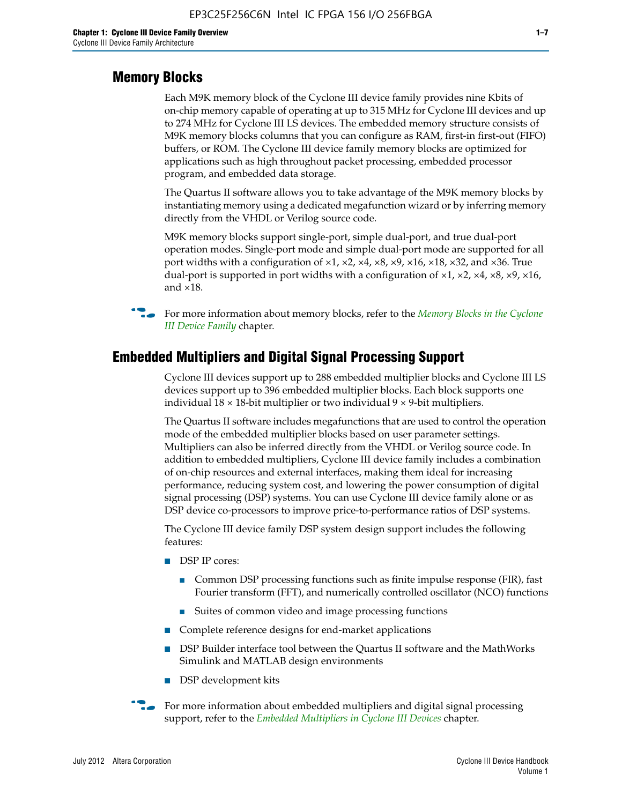#### **Memory Blocks**

Each M9K memory block of the Cyclone III device family provides nine Kbits of on-chip memory capable of operating at up to 315 MHz for Cyclone III devices and up to 274 MHz for Cyclone III LS devices. The embedded memory structure consists of M9K memory blocks columns that you can configure as RAM, first-in first-out (FIFO) buffers, or ROM. The Cyclone III device family memory blocks are optimized for applications such as high throughout packet processing, embedded processor program, and embedded data storage.

The Quartus II software allows you to take advantage of the M9K memory blocks by instantiating memory using a dedicated megafunction wizard or by inferring memory directly from the VHDL or Verilog source code.

M9K memory blocks support single-port, simple dual-port, and true dual-port operation modes. Single-port mode and simple dual-port mode are supported for all port widths with a configuration of  $\times1$ ,  $\times2$ ,  $\times4$ ,  $\times8$ ,  $\times9$ ,  $\times16$ ,  $\times18$ ,  $\times32$ , and  $\times36$ . True dual-port is supported in port widths with a configuration of  $\times$ 1,  $\times$ 2,  $\times$ 4,  $\times$ 8,  $\times$ 9,  $\times$ 16, and ×18.



**For more information about memory blocks, refer to the** *Memory Blocks in the Cyclone [III Device Family](http://www.altera.com/literature/hb/cyc3/cyc3_ciii51004.pdf)* chapter.

#### **Embedded Multipliers and Digital Signal Processing Support**

Cyclone III devices support up to 288 embedded multiplier blocks and Cyclone III LS devices support up to 396 embedded multiplier blocks. Each block supports one individual  $18 \times 18$ -bit multiplier or two individual  $9 \times 9$ -bit multipliers.

The Quartus II software includes megafunctions that are used to control the operation mode of the embedded multiplier blocks based on user parameter settings. Multipliers can also be inferred directly from the VHDL or Verilog source code. In addition to embedded multipliers, Cyclone III device family includes a combination of on-chip resources and external interfaces, making them ideal for increasing performance, reducing system cost, and lowering the power consumption of digital signal processing (DSP) systems. You can use Cyclone III device family alone or as DSP device co-processors to improve price-to-performance ratios of DSP systems.

The Cyclone III device family DSP system design support includes the following features:

- DSP IP cores:
	- Common DSP processing functions such as finite impulse response (FIR), fast Fourier transform (FFT), and numerically controlled oscillator (NCO) functions
	- Suites of common video and image processing functions
- Complete reference designs for end-market applications
- DSP Builder interface tool between the Quartus II software and the MathWorks Simulink and MATLAB design environments
- DSP development kits
- For more information about embedded multipliers and digital signal processing support, refer to the *[Embedded Multipliers in Cyclone III Devices](http://www.altera.com/literature/hb/cyc3/cyc3_ciii51005.pdf)* chapter.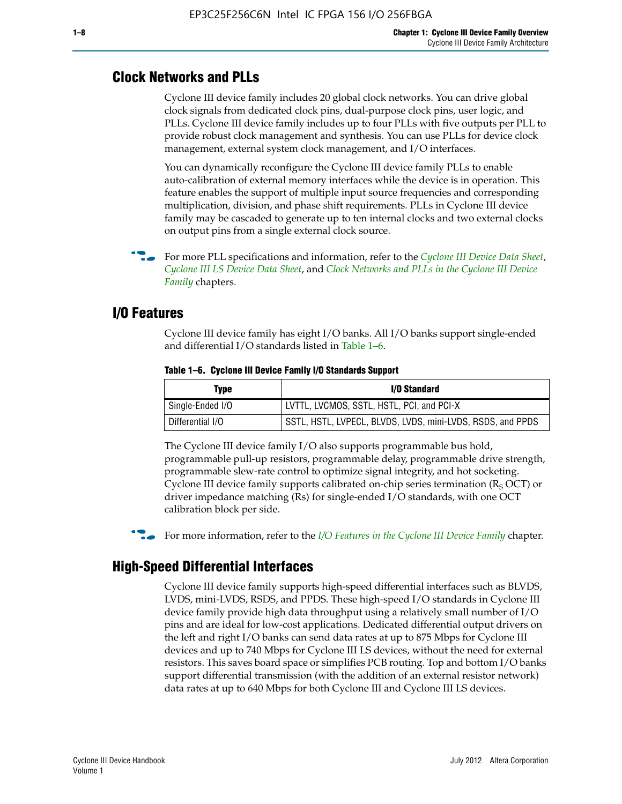#### **Clock Networks and PLLs**

Cyclone III device family includes 20 global clock networks. You can drive global clock signals from dedicated clock pins, dual-purpose clock pins, user logic, and PLLs. Cyclone III device family includes up to four PLLs with five outputs per PLL to provide robust clock management and synthesis. You can use PLLs for device clock management, external system clock management, and I/O interfaces.

You can dynamically reconfigure the Cyclone III device family PLLs to enable auto-calibration of external memory interfaces while the device is in operation. This feature enables the support of multiple input source frequencies and corresponding multiplication, division, and phase shift requirements. PLLs in Cyclone III device family may be cascaded to generate up to ten internal clocks and two external clocks on output pins from a single external clock source.

**For more PLL specifications and information, refer to the** *[Cyclone III Device Data Sheet](http://www.altera.com/literature/hb/cyc3/cyc3_ciii52001.pdf)***,** *[Cyclone III LS Device Data Sheet](http://www.altera.com/literature/hb/cyc3/cyc3_ciii52002.pdf)*, and *[Clock Networks and PLLs in the Cyclone III Device](http://www.altera.com/literature/hb/cyc3/cyc3_ciii51006.pdf)  [Family](http://www.altera.com/literature/hb/cyc3/cyc3_ciii51006.pdf)* chapters.

#### **I/O Features**

Cyclone III device family has eight I/O banks. All I/O banks support single-ended and differential I/O standards listed in Table 1–6.

| Type             | <b>I/O Standard</b>                                        |
|------------------|------------------------------------------------------------|
| Single-Ended I/O | LVTTL, LVCMOS, SSTL, HSTL, PCI, and PCI-X                  |
| Differential I/O | SSTL, HSTL, LVPECL, BLVDS, LVDS, mini-LVDS, RSDS, and PPDS |

**Table 1–6. Cyclone III Device Family I/O Standards Support** 

The Cyclone III device family I/O also supports programmable bus hold, programmable pull-up resistors, programmable delay, programmable drive strength, programmable slew-rate control to optimize signal integrity, and hot socketing. Cyclone III device family supports calibrated on-chip series termination ( $R_S$  OCT) or driver impedance matching (Rs) for single-ended I/O standards, with one OCT calibration block per side.

For more information, refer to the *[I/O Features in the Cyclone III Device Family](http://www.altera.com/literature/hb/cyc3/cyc3_ciii51007.pdf)* chapter.

#### **High-Speed Differential Interfaces**

Cyclone III device family supports high-speed differential interfaces such as BLVDS, LVDS, mini-LVDS, RSDS, and PPDS. These high-speed I/O standards in Cyclone III device family provide high data throughput using a relatively small number of I/O pins and are ideal for low-cost applications. Dedicated differential output drivers on the left and right I/O banks can send data rates at up to 875 Mbps for Cyclone III devices and up to 740 Mbps for Cyclone III LS devices, without the need for external resistors. This saves board space or simplifies PCB routing. Top and bottom I/O banks support differential transmission (with the addition of an external resistor network) data rates at up to 640 Mbps for both Cyclone III and Cyclone III LS devices.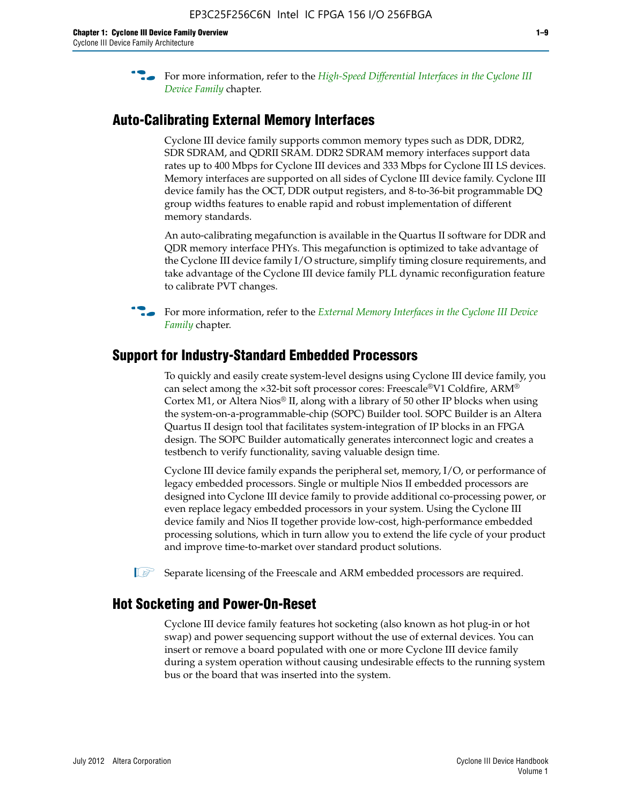**For more information, refer to the** *High-Speed Differential Interfaces in the Cyclone III* $\overline{a}$ *[Device Family](http://www.altera.com/literature/hb/cyc3/cyc3_ciii51008.pdf)* chapter.

#### **Auto-Calibrating External Memory Interfaces**

Cyclone III device family supports common memory types such as DDR, DDR2, SDR SDRAM, and QDRII SRAM. DDR2 SDRAM memory interfaces support data rates up to 400 Mbps for Cyclone III devices and 333 Mbps for Cyclone III LS devices. Memory interfaces are supported on all sides of Cyclone III device family. Cyclone III device family has the OCT, DDR output registers, and 8-to-36-bit programmable DQ group widths features to enable rapid and robust implementation of different memory standards.

An auto-calibrating megafunction is available in the Quartus II software for DDR and QDR memory interface PHYs. This megafunction is optimized to take advantage of the Cyclone III device family I/O structure, simplify timing closure requirements, and take advantage of the Cyclone III device family PLL dynamic reconfiguration feature to calibrate PVT changes.

**For more information, refer to the** *External Memory Interfaces in the Cyclone III Device [Family](http://www.altera.com/literature/hb/cyc3/cyc3_ciii51009.pdf)* chapter.

#### **Support for Industry-Standard Embedded Processors**

To quickly and easily create system-level designs using Cyclone III device family, you can select among the ×32-bit soft processor cores: Freescale®V1 Coldfire, ARM® Cortex M1, or Altera Nios® II, along with a library of 50 other IP blocks when using the system-on-a-programmable-chip (SOPC) Builder tool. SOPC Builder is an Altera Quartus II design tool that facilitates system-integration of IP blocks in an FPGA design. The SOPC Builder automatically generates interconnect logic and creates a testbench to verify functionality, saving valuable design time.

Cyclone III device family expands the peripheral set, memory, I/O, or performance of legacy embedded processors. Single or multiple Nios II embedded processors are designed into Cyclone III device family to provide additional co-processing power, or even replace legacy embedded processors in your system. Using the Cyclone III device family and Nios II together provide low-cost, high-performance embedded processing solutions, which in turn allow you to extend the life cycle of your product and improve time-to-market over standard product solutions.

 $\mathbb{I}$  Separate licensing of the Freescale and ARM embedded processors are required.

#### **Hot Socketing and Power-On-Reset**

Cyclone III device family features hot socketing (also known as hot plug-in or hot swap) and power sequencing support without the use of external devices. You can insert or remove a board populated with one or more Cyclone III device family during a system operation without causing undesirable effects to the running system bus or the board that was inserted into the system.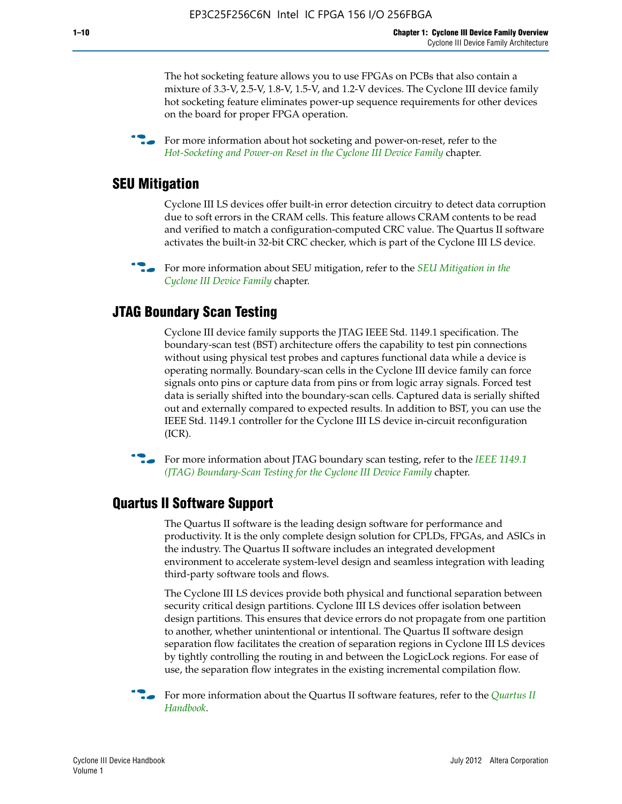The hot socketing feature allows you to use FPGAs on PCBs that also contain a mixture of 3.3-V, 2.5-V, 1.8-V, 1.5-V, and 1.2-V devices. The Cyclone III device family hot socketing feature eliminates power-up sequence requirements for other devices on the board for proper FPGA operation.

For more information about hot socketing and power-on-reset, refer to the *[Hot-Socketing and Power-on Reset in the Cyclone III Device Family](http://www.altera.com/literature/hb/cyc3/cyc3_ciii51011.pdf)* chapter.

#### **SEU Mitigation**

Cyclone III LS devices offer built-in error detection circuitry to detect data corruption due to soft errors in the CRAM cells. This feature allows CRAM contents to be read and verified to match a configuration-computed CRC value. The Quartus II software activates the built-in 32-bit CRC checker, which is part of the Cyclone III LS device.

**For more information about SEU mitigation, refer to the** *SEU Mitigation in the [Cyclone III Device Family](http://www.altera.com/literature/hb/cyc3/cyc3_ciii51013.pdf)* chapter.

#### **JTAG Boundary Scan Testing**

Cyclone III device family supports the JTAG IEEE Std. 1149.1 specification. The boundary-scan test (BST) architecture offers the capability to test pin connections without using physical test probes and captures functional data while a device is operating normally. Boundary-scan cells in the Cyclone III device family can force signals onto pins or capture data from pins or from logic array signals. Forced test data is serially shifted into the boundary-scan cells. Captured data is serially shifted out and externally compared to expected results. In addition to BST, you can use the IEEE Std. 1149.1 controller for the Cyclone III LS device in-circuit reconfiguration (ICR).

**f f**or more information about JTAG boundary scan testing, refer to the *IEEE* 1149.1 *[\(JTAG\) Boundary-Scan Testing for the Cyclone III Device Family](http://www.altera.com/literature/hb/cyc3/cyc3_ciii51014.pdf)* chapter.

#### **Quartus II Software Support**

The Quartus II software is the leading design software for performance and productivity. It is the only complete design solution for CPLDs, FPGAs, and ASICs in the industry. The Quartus II software includes an integrated development environment to accelerate system-level design and seamless integration with leading third-party software tools and flows.

The Cyclone III LS devices provide both physical and functional separation between security critical design partitions. Cyclone III LS devices offer isolation between design partitions. This ensures that device errors do not propagate from one partition to another, whether unintentional or intentional. The Quartus II software design separation flow facilitates the creation of separation regions in Cyclone III LS devices by tightly controlling the routing in and between the LogicLock regions. For ease of use, the separation flow integrates in the existing incremental compilation flow.

f For more information about the Quartus II software features, refer to the *[Quartus II](http://www.altera.com/literature/hb/qts/quartusii_handbook.pdf)  [Handbook](http://www.altera.com/literature/hb/qts/quartusii_handbook.pdf)*.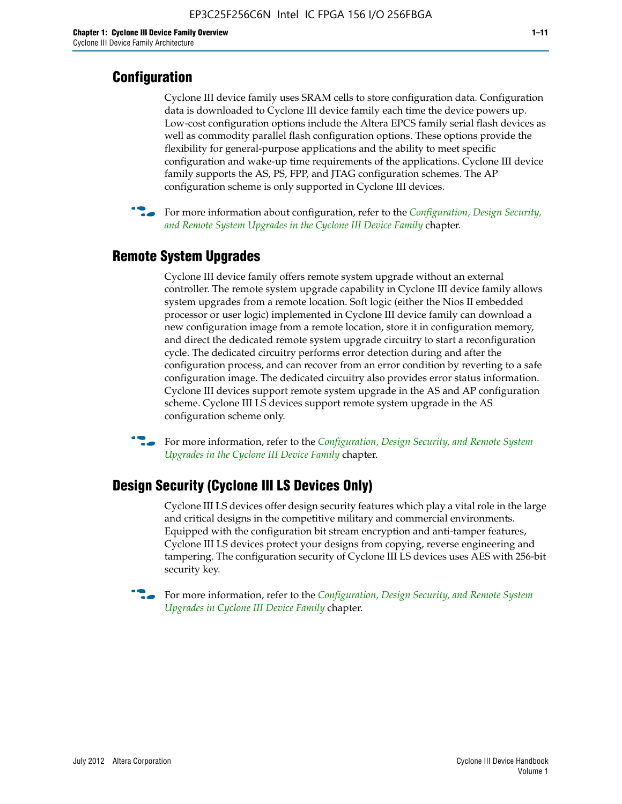### **Configuration**

Cyclone III device family uses SRAM cells to store configuration data. Configuration data is downloaded to Cyclone III device family each time the device powers up. Low-cost configuration options include the Altera EPCS family serial flash devices as well as commodity parallel flash configuration options. These options provide the flexibility for general-purpose applications and the ability to meet specific configuration and wake-up time requirements of the applications. Cyclone III device family supports the AS, PS, FPP, and JTAG configuration schemes. The AP configuration scheme is only supported in Cyclone III devices.



f For more information about configuration, refer to the *[Configuration, Design Security,](http://www.altera.com/literature/hb/cyc3/cyc3_ciii51016.pdf)  [and Remote System Upgrades in the Cyclone III Device Family](http://www.altera.com/literature/hb/cyc3/cyc3_ciii51016.pdf)* chapter.

### **Remote System Upgrades**

Cyclone III device family offers remote system upgrade without an external controller. The remote system upgrade capability in Cyclone III device family allows system upgrades from a remote location. Soft logic (either the Nios II embedded processor or user logic) implemented in Cyclone III device family can download a new configuration image from a remote location, store it in configuration memory, and direct the dedicated remote system upgrade circuitry to start a reconfiguration cycle. The dedicated circuitry performs error detection during and after the configuration process, and can recover from an error condition by reverting to a safe configuration image. The dedicated circuitry also provides error status information. Cyclone III devices support remote system upgrade in the AS and AP configuration scheme. Cyclone III LS devices support remote system upgrade in the AS configuration scheme only.

**For more information, refer to the** *Configuration, Design Security, and Remote System [Upgrades in the Cyclone III Device Family](http://www.altera.com/literature/hb/cyc3/cyc3_ciii51016.pdf)* chapter.

#### **Design Security (Cyclone III LS Devices Only)**

Cyclone III LS devices offer design security features which play a vital role in the large and critical designs in the competitive military and commercial environments. Equipped with the configuration bit stream encryption and anti-tamper features, Cyclone III LS devices protect your designs from copying, reverse engineering and tampering. The configuration security of Cyclone III LS devices uses AES with 256-bit security key.

f For more information, refer to the *[Configuration, Design Security, and Remote System](http://www.altera.com/literature/hb/cyc3/cyc3_ciii51016.pdf)  [Upgrades in Cyclone III Device Family](http://www.altera.com/literature/hb/cyc3/cyc3_ciii51016.pdf)* chapter.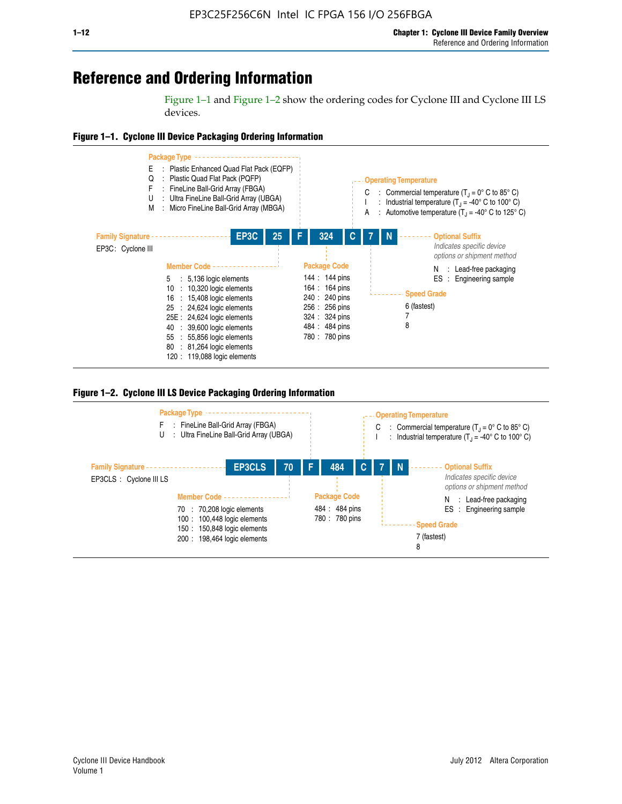## **Reference and Ordering Information**

Figure 1–1 and Figure 1–2 show the ordering codes for Cyclone III and Cyclone III LS devices.







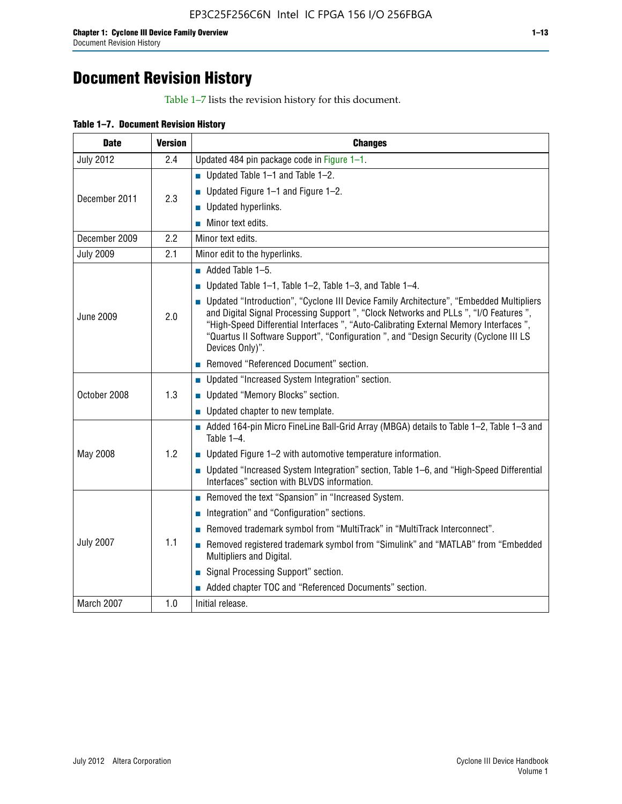## **Document Revision History**

Table 1–7 lists the revision history for this document.

| Table 1-7. Document Revision History |
|--------------------------------------|
|--------------------------------------|

| <b>Date</b>      | <b>Version</b> | <b>Changes</b>                                                                                                                                                                                                                                                                                                                                                                          |
|------------------|----------------|-----------------------------------------------------------------------------------------------------------------------------------------------------------------------------------------------------------------------------------------------------------------------------------------------------------------------------------------------------------------------------------------|
| <b>July 2012</b> | 2.4            | Updated 484 pin package code in Figure 1-1.                                                                                                                                                                                                                                                                                                                                             |
|                  |                | Updated Table $1-1$ and Table $1-2$ .                                                                                                                                                                                                                                                                                                                                                   |
| December 2011    | 2.3            | ■ Updated Figure $1-1$ and Figure $1-2$ .                                                                                                                                                                                                                                                                                                                                               |
|                  |                | <b>Updated hyperlinks.</b>                                                                                                                                                                                                                                                                                                                                                              |
|                  |                | $\blacksquare$ Minor text edits.                                                                                                                                                                                                                                                                                                                                                        |
| December 2009    | 2.2            | Minor text edits.                                                                                                                                                                                                                                                                                                                                                                       |
| <b>July 2009</b> | 2.1            | Minor edit to the hyperlinks.                                                                                                                                                                                                                                                                                                                                                           |
|                  |                | $\blacksquare$ Added Table 1-5.                                                                                                                                                                                                                                                                                                                                                         |
|                  |                | ■ Updated Table 1–1, Table 1–2, Table 1–3, and Table 1–4.                                                                                                                                                                                                                                                                                                                               |
| <b>June 2009</b> | 2.0            | • Updated "Introduction", "Cyclone III Device Family Architecture", "Embedded Multipliers<br>and Digital Signal Processing Support ", "Clock Networks and PLLs ", "I/O Features ",<br>"High-Speed Differential Interfaces ", "Auto-Calibrating External Memory Interfaces",<br>"Quartus II Software Support", "Configuration ", and "Design Security (Cyclone III LS<br>Devices Only)". |
|                  |                | Removed "Referenced Document" section.                                                                                                                                                                                                                                                                                                                                                  |
|                  |                | • Updated "Increased System Integration" section.                                                                                                                                                                                                                                                                                                                                       |
| October 2008     | 1.3            | Updated "Memory Blocks" section.                                                                                                                                                                                                                                                                                                                                                        |
|                  |                | • Updated chapter to new template.                                                                                                                                                                                                                                                                                                                                                      |
|                  |                | Added 164-pin Micro FineLine Ball-Grid Array (MBGA) details to Table 1-2, Table 1-3 and<br>Table $1-4$ .                                                                                                                                                                                                                                                                                |
| May 2008         | 1.2            | $\blacksquare$ Updated Figure 1-2 with automotive temperature information.                                                                                                                                                                                                                                                                                                              |
|                  |                | • Updated "Increased System Integration" section, Table 1-6, and "High-Speed Differential<br>Interfaces" section with BLVDS information.                                                                                                                                                                                                                                                |
|                  |                | Removed the text "Spansion" in "Increased System.                                                                                                                                                                                                                                                                                                                                       |
|                  |                | Integration" and "Configuration" sections.                                                                                                                                                                                                                                                                                                                                              |
|                  |                | Removed trademark symbol from "MultiTrack" in "MultiTrack Interconnect".                                                                                                                                                                                                                                                                                                                |
| <b>July 2007</b> | 1.1            | Removed registered trademark symbol from "Simulink" and "MATLAB" from "Embedded<br>Multipliers and Digital.                                                                                                                                                                                                                                                                             |
|                  |                | Signal Processing Support" section.                                                                                                                                                                                                                                                                                                                                                     |
|                  |                | Added chapter TOC and "Referenced Documents" section.                                                                                                                                                                                                                                                                                                                                   |
| March 2007       | 1.0            | Initial release.                                                                                                                                                                                                                                                                                                                                                                        |